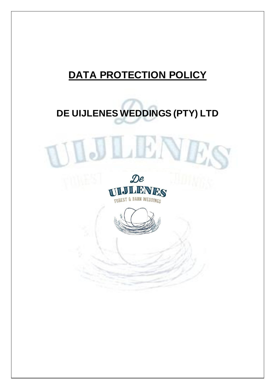# **DATA PROTECTION POLICY**

# **DE UIJLENES WEDDINGS (PTY) LTD**

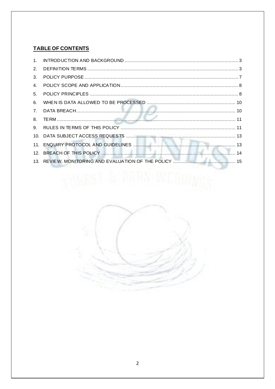# **TABLE OF CONTENTS**

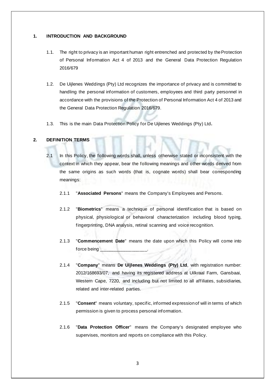#### <span id="page-2-0"></span>**1. INTRODUCTION AND BACKGROUND**

- 1.1. The right to privacy is an important human right entrenched and protected by the Protection of Personal Information Act 4 of 2013 and the General Data Protection Regulation 2016/679
- 1.2. De Uijlenes Weddings (Pty) Ltd recognizes the importance of privacy and is committed to handling the personal information of customers, employees and third party personnel in accordance with the provisions of the Protection of Personal Information Act 4 of 2013 and the General Data Protection Regulation 2016/679.
- 1.3. This is the main Data Protection Policy for De Uijlenes Weddings (Pty) Ltd**.**

# <span id="page-2-1"></span>**2. DEFINITION TERMS**

- 2.1 In this Policy, the following words shall, unless otherwise stated or inconsistent with the context in which they appear, bear the following meanings and other words derived from the same origins as such words (that is, cognate words) shall bear corresponding meanings:
	- 2.1.1 "**Associated Persons**" means the Company's Employees and Persons.
	- 2.1.2 "**Biometrics**" means a technique of personal identification that is based on physical, physiological or behavioral characterization including blood typing, fingerprinting, DNA analysis, retinal scanning and voice recognition.
	- 2.1.3 "**Commencement Date**" means the date upon which this Policy will come into force being
	- 2.1.4 "**Company**" means **De Uijlenes Weddings (Pty) Ltd**, with registration number: 2012/168693/07, and having its registered address at Uilkraal Farm, Gansbaai, Western Cape, 7220, and including but not limited to all affiliates, subsidiaries, related and inter-related parties.
	- 2.1.5 "**Consent**" means voluntary, specific, informed expression of will in terms of which permission is given to process personal information.
	- 2.1.6 "**Data Protection Officer**" means the Company's designated employee who supervises, monitors and reports on compliance with this Policy.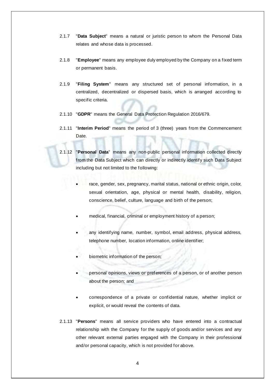- 2.1.7 "**Data Subject**" means a natural or juristic person to whom the Personal Data relates and whose data is processed.
- 2.1.8 "**Employee**" means any employee duly employed by the Company on a fixed term or permanent basis.
- 2.1.9 "**Filing System**" means any structured set of personal information, in a centralized, decentralized or dispersed basis, which is arranged according to specific criteria.
- 2.1.10 "**GDPR**" means the General Data Protection Regulation 2016/679.
- 2.1.11 "**Interim Period**" means the period of 3 (three) years from the Commencement Date.
- 2.1.12 "**Personal Data**" means any non-public personal information collected directly from the Data Subject which can directly or indirectly identify such Data Subject including but not limited to the following:
	- race, gender, sex, pregnancy, marital status, national or ethnic origin, color, sexual orientation, age, physical or mental health, disability, religion, conscience, belief, culture, language and birth of the person;
	- medical, financial, criminal or employment history of a person;
	- any identifying name, number, symbol, email address, physical address, telephone number, location information, online identifier;
	- biometric information of the person;
	- personal opinions, views or preferences of a person, or of another person about the person; and
	- correspondence of a private or confidential nature, whether implicit or explicit, or would reveal the contents of data.
- 2.1.13 "**Persons**" means all service providers who have entered into a contractual relationship with the Company for the supply of goods and/or services and any other relevant external parties engaged with the Company in their professional and/or personal capacity, which is not provided for above.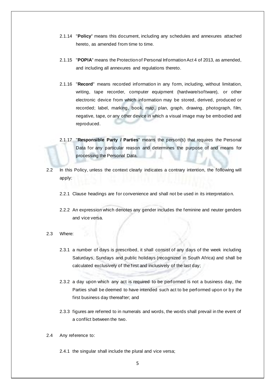- 2.1.14 "**Policy**" means this document, including any schedules and annexures attached hereto, as amended from time to time.
- 2.1.15 "**POPIA**" means the Protection of Personal Information Act 4 of 2013, as amended, and including all annexures and regulations thereto.
- 2.1.16 "**Record**" means recorded information in any form, including, without limitation, writing, tape recorder, computer equipment (hardware/software), or other electronic device from which information may be stored, derived, produced or recorded; label, marking, book, map, plan, graph, drawing, photograph, film, negative, tape, or any other device in which a visual image may be embodied and reproduced.
- 2.1.17 "**Responsible Party / Parties**" means the person(s) that requires the Personal Data for any particular reason and determines the purpose of and means for processing the Personal Data.
- 2.2 In this Policy, unless the context clearly indicates a contrary intention, the following will apply:
	- 2.2.1 Clause headings are for convenience and shall not be used in its interpretatio n.
	- 2.2.2 An expression which denotes any gender includes the feminine and neuter genders and vice versa.
- 2.3 Where:
	- 2.3.1 a number of days is prescribed, it shall consist of any days of the week including Saturdays, Sundays and public holidays (recognized in South Africa) and shall be calculated exclusively of the first and inclusively of the last day;
	- 2.3.2 a day upon which any act is required to be performed is not a business day, the Parties shall be deemed to have intended such act to be performed upon or by the first business day thereafter; and
	- 2.3.3 figures are referred to in numerals and words, the words shall prevail in the event of a conflict between the two.
- 2.4 Any reference to:
	- 2.4.1 the singular shall include the plural and vice versa;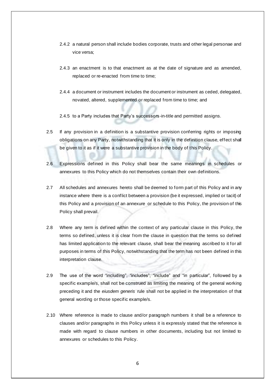- 2.4.2 a natural person shall include bodies corporate, trusts and other legal personae and vice versa;
- 2.4.3 an enactment is to that enactment as at the date of signature and as amended, replaced or re-enacted from time to time;
- 2.4.4 a document or instrument includes the document or instrument as ceded, delegated, novated, altered, supplemented or replaced from time to time; and
- 2.4.5 to a Party includes that Party's successors-in-title and permitted assigns.
- 2.5 If any provision in a definition is a substantive provision conferring rights or imposing obligations on any Party, notwithstanding that it is only in the definition clause, effect shall be given to it as if it were a substantive provision in the body of this Policy.
- 2.6 Expressions defined in this Policy shall bear the same meanings in schedules or annexures to this Policy which do not themselves contain their own definitions.
- 2.7 All schedules and annexures hereto shall be deemed to form part of this Policy and in any instance where there is a conflict between a provision (be it expressed, implied or tacit) of this Policy and a provision of an annexure or schedule to this Policy, the provision of this Policy shall prevail.
- 2.8 Where any term is defined within the context of any particular clause in this Policy, the terms so defined, unless it is clear from the clause in question that the terms so defined has limited application to the relevant clause, shall bear the meaning ascribed to it for all purposes in terms of this Policy, notwithstanding that the term has not been defined in this interpretation clause.
- 2.9 The use of the word "including", "includes", "include" and "in particular", followed by a specific example/s, shall not be construed as limiting the meaning of the general working preceding it and the *eiusdem generis* rule shall not be applied in the interpretation of that general wording or those specific example/s.
- 2.10 Where reference is made to clause and/or paragraph numbers it shall be a reference to clauses and/or paragraphs in this Policy unless it is expressly stated that the reference is made with regard to clause numbers in other documents, including but not limited to annexures or schedules to this Policy.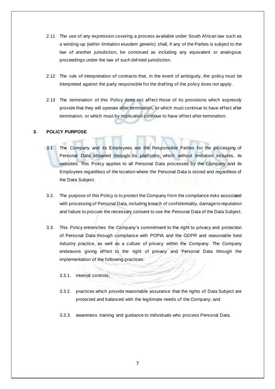- 2.11 The use of any expression covering a process available under South African law such as a winding-up (within limitation *eiusdem generis*) shall, if any of the Parties is subject to the law of another jurisdiction, be construed as including any equivalent or analogous proceedings under the law of such def ined jurisdiction.
- 2.12 The rule of interpretation of contracts that, in the event of ambiguity, the policy must be interpreted against the party responsible for the drafting of the policy does not apply.
- 2.13 The termination of this Policy does not affect those of its provisions which expressly provide that they will operate after termination, or which must continue to have effect after termination, or which must by implication continue to have effect after termination.

#### <span id="page-6-0"></span>**3. POLICY PURPOSE**

- 3.1. The Company and its Employees are the Responsible Parties for the processing of Personal Data obtained through its platforms, which without limitation includes, its websites. This Policy applies to all Personal Data processed by the Company and its Employees regardless of the location where the Personal Data is stored and regardless of the Data Subject.
- 3.2. The purpose of this Policy is to protect the Company from the compliance risks associated with processing of Personal Data, including breach of confidentiality, damage to reputation and failure to procure the necessary consent to use the Personal Data of the Data Subject.
- 3.3. This Policy entrenches the Company's commitment to the right to privacy and protection of Personal Data through compliance with POPIA and the GDPR and reasonable best industry practice, as well as a culture of privacy within the Company. The Company endeavors giving effect to the right of privacy and Personal Data through the implementation of the following practices:
	- 3.3.1. internal controls;
	- 3.3.2. practices which provide reasonable assurance that the rights of Data Subject are protected and balanced with the legitimate needs of the Company; and
	- 3.3.3. awareness training and guidance to individuals who process Personal Data.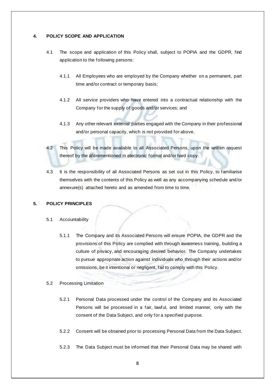#### <span id="page-7-0"></span>**4. POLICY SCOPE AND APPLICATION**

- 4.1 The scope and application of this Policy shall, subject to POPIA and the GDPR, find application to the following persons:
	- 4.1.1 All Employees who are employed by the Company whether on a permanent, part time and/or contract or temporary basis;
	- 4.1.2 All service providers who have entered into a contractual relationship with the Company for the supply of goods and/or services; and
	- 4.1.3 Any other relevant external parties engaged with the Company in their professional and/or personal capacity, which is not provided for above.
- 4.2 This Policy will be made available to all Associated Persons, upon the written request thereof by the aforementioned in electronic format and/or hard copy.
- 4.3 It is the responsibility of all Associated Persons as set out in this Policy, to familiarise themselves with the contents of this Policy as well as any accompanying schedule and/or annexure(s) attached hereto and as amended from time to time.

# <span id="page-7-1"></span>**5. POLICY PRINCIPLES**

- 5.1 Accountability
	- 5.1.1 The Company and its Associated Persons will ensure POPIA, the GDPR and the provisions of this Policy are complied with through awareness training, building a culture of privacy, and encouraging desired behavior. The Company undertakes to pursue appropriate action against individuals who through their actions and/or omissions, be it intentional or negligent, fail to comply with this Policy.

#### 5.2 Processing Limitation

- 5.2.1 Personal Data processed under the control of the Company and its Associated Persons will be processed in a fair, lawful, and limited manner, only with the consent of the Data Subject, and only for a specified purpose.
- 5.2.2 Consent will be obtained prior to processing Personal Data from the Data Subject.
- 5.2.3 The Data Subject must be informed that their Personal Data may be shared with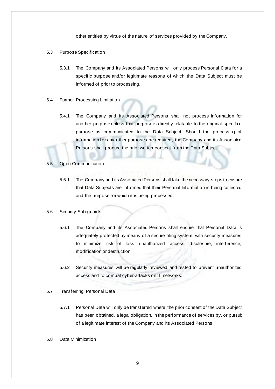other entities by virtue of the nature of services provided by the Company.

- 5.3 Purpose Specification
	- 5.3.1 The Company and its Associated Persons will only process Personal Data for a specific purpose and/or legitimate reasons of which the Data Subject must be informed of prior to processing.
- 5.4 Further Processing Limitation
	- 5.4.1 The Company and its Associated Persons shall not process information for another purpose unless that purpose is directly relatable to the original specified purpose as communicated to the Data Subject. Should the processing of information for any other purposes be required, the Company and its Associated Persons shall procure the prior written consent from the Data Subject.
- 5.5 Open Communication
	- 5.5.1 The Company and its Associated Persons shall take the necessary steps to ensure that Data Subjects are informed that their Personal Information is being collected and the purpose for which it is being processed.
- 5.6 Security Safeguards
	- 5.6.1 The Company and its Associated Persons shall ensure that Personal Data is adequately protected by means of a secure filing system, with security measures to minimize risk of loss, unauthorized access, disclosure, interference, modification or destruction.
	- 5.6.2 Security measures will be regularly reviewed and tested to prevent unauthorized access and to combat cyber-attacks on IT networks.
- 5.7 Transferring Personal Data
	- 5.7.1 Personal Data will only be transferred where the prior consent of the Data Subject has been obtained, a legal obligation, in the performance of services by, or pursuit of a legitimate interest of the Company and its Associated Persons.
- 5.8 Data Minimization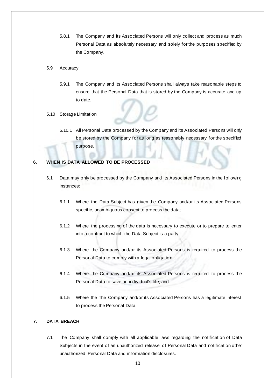5.8.1 The Company and its Associated Persons will only collect and process as much Personal Data as absolutely necessary and solely for the purposes specified by the Company.

#### 5.9 Accuracy

5.9.1 The Company and its Associated Persons shall always take reasonable steps to ensure that the Personal Data that is stored by the Company is accurate and up to date.

#### 5.10 Storage Limitation

5.10.1 All Personal Data processed by the Company and its Associated Persons will only be stored by the Company for as long as reasonably necessary for the specified purpose.

# <span id="page-9-0"></span>**6. WHEN IS DATA ALLOWED TO BE PROCESSED**

- 6.1 Data may only be processed by the Company and its Associated Persons in the following instances:
	- 6.1.1 Where the Data Subject has given the Company and/or its Associated Persons specific, unambiguous consent to process the data;
	- 6.1.2 Where the processing of the data is necessary to execute or to prepare to enter into a contract to which the Data Subject is a party;
	- 6.1.3 Where the Company and/or its Associated Persons is required to process the Personal Data to comply with a legal obligation;
	- 6.1.4 Where the Company and/or its Associated Persons is required to process the Personal Data to save an individual's life; and
	- 6.1.5 Where the The Company and/or its Associated Persons has a legitimate interest to process the Personal Data.

# <span id="page-9-1"></span>**7. DATA BREACH**

7.1 The Company shall comply with all applicable laws regarding the notification of Data Subjects in the event of an unauthorized release of Personal Data and notification other unauthorized Personal Data and information disclosures.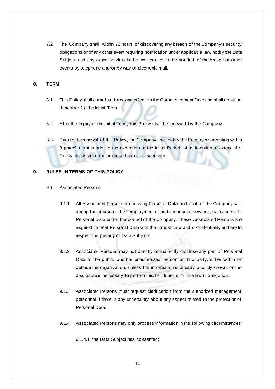7.2 The Company shall, within 72 hours of discovering any breach of the Company's security obligations or of any other event requiring notification under applicable law, notify the Data Subject, and any other individuals the law requires to be notified, of the breach or other events by telephone and/or by way of electronic mail.

# <span id="page-10-0"></span>**8. TERM**

- 8.1 This Policy shall come into force and effect on the Commencement Date and shall continue thereafter for the Initial Term.
- 8.2 After the expiry of the Initial Term, this Policy shall be renewed by the Company.
- 8.3 Prior to the renewal of this Policy, the Company shall notify the Employees in writing within 3 (three) months prior to the expiration of the Initial Period, of its intention to extend this Policy, inclusive of the proposed terms of extension.

#### <span id="page-10-1"></span>**9. RULES IN TERMS OF THIS POLICY**

- 9.1 Associated Persons
	- 9.1.1 All Associated Persons processing Personal Data on behalf of the Company will, during the course of their employment or performance of services, gain access to Personal Data under the control of the Company. These Associated Persons are required to treat Personal Data with the utmost care and confidentiality and are to respect the privacy of Data Subjects.
	- 9.1.2 Associated Persons may not directly or indirectly disclose any part of Personal Data to the public, another unauthorized person or third party, either within or outside the organization, unless the information is already publicly known, or the disclosure is necessary to perform his/her duties or fulfil a lawful obligation.
	- 9.1.3 Associated Persons must request clarification from the authorized management personnel if there is any uncertainty about any aspect related to the protection of Personal Data.
	- 9.1.4 Associated Persons may only process information in the following circumstances:
		- 9.1.4.1 the Data Subject has consented;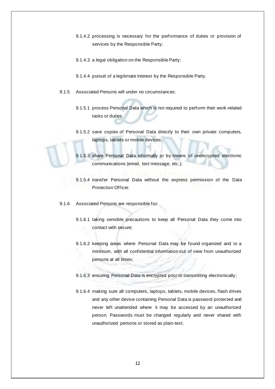- 9.1.4.2 processing is necessary for the performance of duties or provision of services by the Responsible Party;
- 9.1.4.3 a legal obligation on the Responsible Party;
- 9.1.4.4 pursuit of a legitimate interest by the Responsible Party.
- 9.1.5 Associated Persons will under no circumstances:
	- 9.1.5.1 process Personal Data which is not required to perform their work-related tasks or duties;
	- 9.1.5.2 save copies of Personal Data directly to their own private computers, laptops, tablets or mobile devices;
	- 9.1.5.3 share Personal Data informally or by means of unencrypted electronic communications (email, text message, etc.);
	- 9.1.5.4 transfer Personal Data without the express permission of the Data Protection Officer.
- 9.1.6 Associated Persons are responsible for:
	- 9.1.6.1 taking sensible precautions to keep all Personal Data they come into contact with secure;
	- 9.1.6.2 keeping areas where Personal Data may be found organized and to a minimum, with all confidential information out of view from unauthorized persons at all times;
	- 9.1.6.3 ensuring Personal Data is encrypted prior to transmitting electronically;
	- 9.1.6.4 making sure all computers, laptops, tablets, mobile devices, flash drives and any other device containing Personal Data is password protected and never left unattended where it may be accessed by an unauthorized person. Passwords must be changed regularly and never shared with unauthorized persons or stored as plain-text;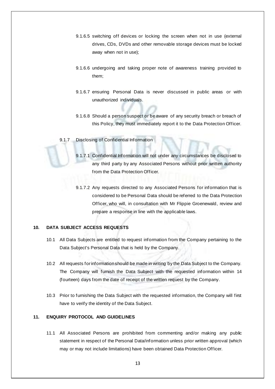- 9.1.6.5 switching off devices or locking the screen when not in use (external drives, CDs, DVDs and other removable storage devices must be locked away when not in use);
- 9.1.6.6 undergoing and taking proper note of awareness training provided to them;
- 9.1.6.7 ensuring Personal Data is never discussed in public areas or with unauthorized individuals.
- 9.1.6.8 Should a person suspect or be aware of any security breach or breach of this Policy, they must immediately report it to the Data Protection Officer.
- 9.1.7 Disclosing of Confidential Information
	- 9.1.7.1 Confidential Information will not under any circumstances be disclosed to any third party by any Associated Persons without prior written authority from the Data Protection Officer.
	- 9.1.7.2 Any requests directed to any Associated Persons for information that is considered to be Personal Data should be referred to the Data Protection Officer, who will, in consultation with Mr Flippie Groenewald, review and prepare a response in line with the applicable laws.

#### <span id="page-12-0"></span>**10. DATA SUBJECT ACCESS REQUESTS**

- 10.1 All Data Subjects are entitled to request information from the Company pertaining to the Data Subject's Personal Data that is held by the Company.
- 10.2 All requests for information should be made in writing by the Data Subject to the Company. The Company will furnish the Data Subject with the requested information within 14 (fourteen) days from the date of receipt of the written request by the Company.
- 10.3 Prior to furnishing the Data Subject with the requested information, the Company will first have to verify the identity of the Data Subject.

# <span id="page-12-1"></span>**11. ENQUIRY PROTOCOL AND GUIDELINES**

11.1 All Associated Persons are prohibited from commenting and/or making any public statement in respect of the Personal Data/information unless prior written approval (which may or may not include limitations) have been obtained Data Protection Officer.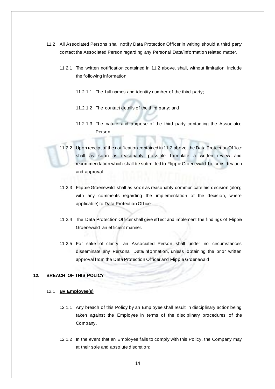- <span id="page-13-1"></span>11.2 All Associated Persons shall notify Data Protection Officer in writing should a third party contact the Associated Person regarding any Personal Data/information related matter.
	- 11.2.1 The written notification contained in [11.2](#page-13-1) above, shall, without limitation, include the following information:
		- 11.2.1.1 The full names and identity number of the third party;
		- 11.2.1.2 The contact details of the third party; and
		- 11.2.1.3 The nature and purpose of the third party contacting the Associated Person.
	- 11.2.2 Upon receipt of the notification contained i[n 11.2](#page-13-1) above, the Data Protection Officer shall as soon as reasonably possible formulate a written review and recommendation which shall be submitted to Flippie Groenewald for consideration and approval.
	- 11.2.3 Flippie Groenewald shall as soon as reasonably communicate his decision (along with any comments regarding the implementation of the decision, where applicable) to Data Protection Officer.
	- 11.2.4 The Data Protection Officer shall give effect and implement the findings of Flippie Groenewald an efficient manner.
	- 11.2.5 For sake of clarity, an Associated Person shall under no circumstances disseminate any Personal Data/information, unless obtaining the prior written approval from the Data Protection Officer and Flippie Groenewald.

# <span id="page-13-0"></span>**12. BREACH OF THIS POLICY**

#### 12.1 **By Employee(s)**

- 12.1.1 Any breach of this Policy by an Employee shall result in disciplinary action being taken against the Employee in terms of the disciplinary procedures of the Company.
- 12.1.2 In the event that an Employee fails to comply with this Policy, the Company may at their sole and absolute discretion: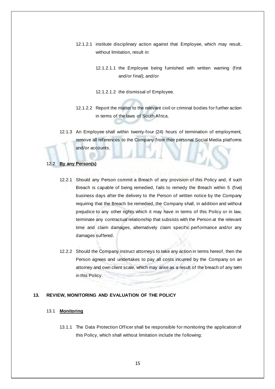- 12.1.2.1 institute disciplinary action against that Employee, which may result, without limitation, result in:
	- 12.1.2.1.1 the Employee being furnished with written warning (first and/or final); and/or
	- 12.1.2.1.2 the dismissal of Employee.
- 12.1.2.2 Report the matter to the relevant civil or criminal bodies for further action in terms of the laws of South Africa.
- 12.1.3 An Employee shall within twenty-four (24) hours of termination of employment, remove all references to the Company from their personal Social Media platforms and/or accounts.

#### 12.2 **By any Person(s)**

- 12.2.1 Should any Person commit a Breach of any provision of this Policy and, if such Breach is capable of being remedied, fails to remedy the Breach within 5 (five) business days after the delivery to the Person of written notice by the Company requiring that the Breach be remedied, the Company shall, in addition and without prejudice to any other rights which it may have in terms of this Policy or in law, terminate any contractual relationship that subsists with the Person at the relevant time and claim damages, alternatively claim specific performance and/or any damages suffered.
- 12.2.2 Should the Company instruct attorneys to take any action in terms hereof, then the Person agrees and undertakes to pay all costs incurred by the Company on an attorney and own client scale, which may arise as a result of the breach of any term in this Policy.

# <span id="page-14-0"></span>**13. REVIEW, MONITORING AND EVALUATION OF THE POLICY**

#### 13.1 **Monitoring**

13.1.1 The Data Protection Officer shall be responsible for monitoring the application of this Policy, which shall without limitation include the following: